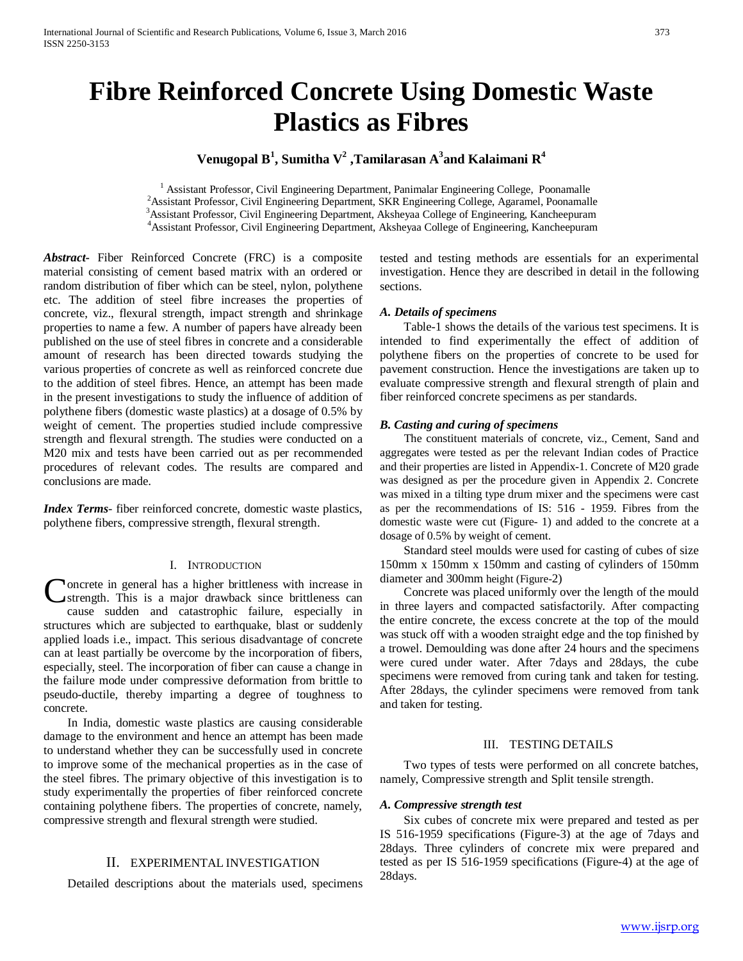# **Fibre Reinforced Concrete Using Domestic Waste Plastics as Fibres**

# **Venugopal B<sup>1</sup> , Sumitha V2 ,Tamilarasan A3 and Kalaimani R4**

<sup>1</sup> Assistant Professor, Civil Engineering Department, Panimalar Engineering College, Poonamalle <sup>2</sup> Assistant Professor, Civil Engineering Department, SKR Engineering College, Agaramel, Poonamalle Assistant Professor, Civil Engineering Department, Aksheyaa College of Engineering, Kancheepuram 4 Assistant Professor, Civil Engineering Department, Aksheyaa College of Engineering, Kancheepuram

*Abstract***-** Fiber Reinforced Concrete (FRC) is a composite material consisting of cement based matrix with an ordered or random distribution of fiber which can be steel, nylon, polythene etc. The addition of steel fibre increases the properties of concrete, viz., flexural strength, impact strength and shrinkage properties to name a few. A number of papers have already been published on the use of steel fibres in concrete and a considerable amount of research has been directed towards studying the various properties of concrete as well as reinforced concrete due to the addition of steel fibres. Hence, an attempt has been made in the present investigations to study the influence of addition of polythene fibers (domestic waste plastics) at a dosage of 0.5% by weight of cement. The properties studied include compressive strength and flexural strength. The studies were conducted on a M20 mix and tests have been carried out as per recommended procedures of relevant codes. The results are compared and conclusions are made.

*Index Terms*- fiber reinforced concrete, domestic waste plastics, polythene fibers, compressive strength, flexural strength.

#### I. INTRODUCTION

oncrete in general has a higher brittleness with increase in strength. This is a major drawback since brittleness can cause sudden and catastrophic failure, especially in structures which are subjected to earthquake, blast or suddenly applied loads i.e., impact. This serious disadvantage of concrete can at least partially be overcome by the incorporation of fibers, especially, steel. The incorporation of fiber can cause a change in the failure mode under compressive deformation from brittle to pseudo-ductile, thereby imparting a degree of toughness to concrete. C

 In India, domestic waste plastics are causing considerable damage to the environment and hence an attempt has been made to understand whether they can be successfully used in concrete to improve some of the mechanical properties as in the case of the steel fibres. The primary objective of this investigation is to study experimentally the properties of fiber reinforced concrete containing polythene fibers. The properties of concrete, namely, compressive strength and flexural strength were studied.

## II. EXPERIMENTAL INVESTIGATION

Detailed descriptions about the materials used, specimens

tested and testing methods are essentials for an experimental investigation. Hence they are described in detail in the following sections.

#### *A. Details of specimens*

 Table-1 shows the details of the various test specimens. It is intended to find experimentally the effect of addition of polythene fibers on the properties of concrete to be used for pavement construction. Hence the investigations are taken up to evaluate compressive strength and flexural strength of plain and fiber reinforced concrete specimens as per standards.

#### *B. Casting and curing of specimens*

 The constituent materials of concrete, viz., Cement, Sand and aggregates were tested as per the relevant Indian codes of Practice and their properties are listed in Appendix-1. Concrete of M20 grade was designed as per the procedure given in Appendix 2. Concrete was mixed in a tilting type drum mixer and the specimens were cast as per the recommendations of IS: 516 - 1959. Fibres from the domestic waste were cut (Figure- 1) and added to the concrete at a dosage of 0.5% by weight of cement.

 Standard steel moulds were used for casting of cubes of size 150mm x 150mm x 150mm and casting of cylinders of 150mm diameter and 300mm height (Figure-2)

 Concrete was placed uniformly over the length of the mould in three layers and compacted satisfactorily. After compacting the entire concrete, the excess concrete at the top of the mould was stuck off with a wooden straight edge and the top finished by a trowel. Demoulding was done after 24 hours and the specimens were cured under water. After 7days and 28days, the cube specimens were removed from curing tank and taken for testing. After 28days, the cylinder specimens were removed from tank and taken for testing.

### III. TESTING DETAILS

 Two types of tests were performed on all concrete batches, namely, Compressive strength and Split tensile strength.

### *A. Compressive strength test*

 Six cubes of concrete mix were prepared and tested as per IS 516-1959 specifications (Figure-3) at the age of 7days and 28days. Three cylinders of concrete mix were prepared and tested as per IS 516-1959 specifications (Figure-4) at the age of 28days.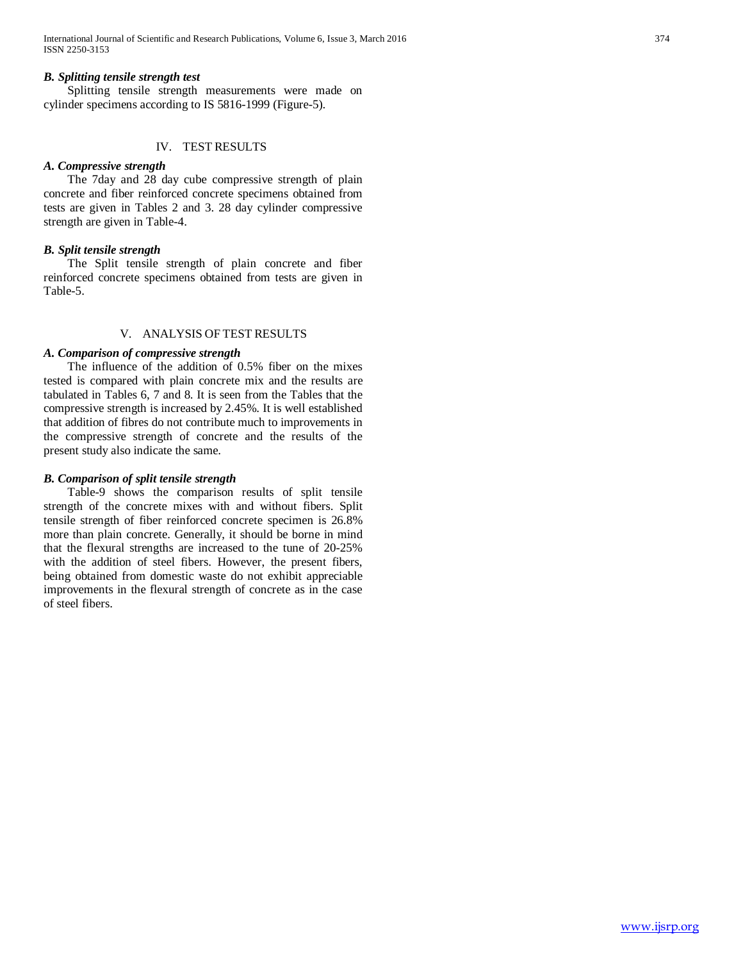## *B. Splitting tensile strength test*

 Splitting tensile strength measurements were made on cylinder specimens according to IS 5816-1999 (Figure-5).

## IV. TEST RESULTS

### *A. Compressive strength*

 The 7day and 28 day cube compressive strength of plain concrete and fiber reinforced concrete specimens obtained from tests are given in Tables 2 and 3. 28 day cylinder compressive strength are given in Table-4.

## *B. Split tensile strength*

 The Split tensile strength of plain concrete and fiber reinforced concrete specimens obtained from tests are given in Table-5.

## V. ANALYSIS OF TEST RESULTS

## *A. Comparison of compressive strength*

 The influence of the addition of 0.5% fiber on the mixes tested is compared with plain concrete mix and the results are tabulated in Tables 6, 7 and 8. It is seen from the Tables that the compressive strength is increased by 2.45%. It is well established that addition of fibres do not contribute much to improvements in the compressive strength of concrete and the results of the present study also indicate the same.

#### *B. Comparison of split tensile strength*

 Table-9 shows the comparison results of split tensile strength of the concrete mixes with and without fibers. Split tensile strength of fiber reinforced concrete specimen is 26.8% more than plain concrete. Generally, it should be borne in mind that the flexural strengths are increased to the tune of 20-25% with the addition of steel fibers. However, the present fibers, being obtained from domestic waste do not exhibit appreciable improvements in the flexural strength of concrete as in the case of steel fibers.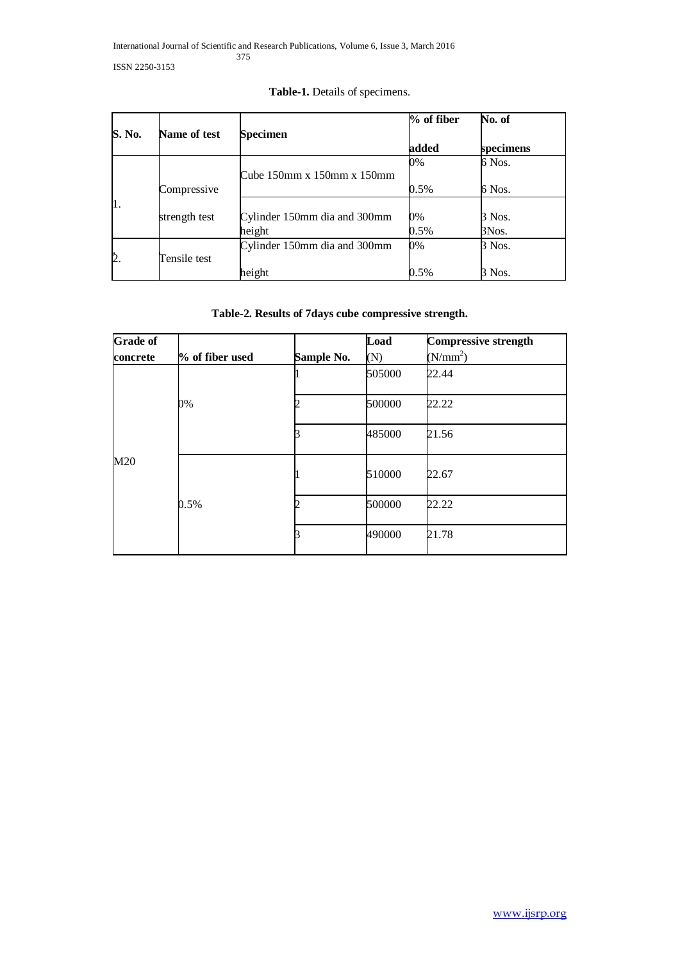| S. No. | Name of test  | Specimen                            | $%$ of fiber | No. of    |
|--------|---------------|-------------------------------------|--------------|-----------|
|        |               |                                     | added        | specimens |
|        |               |                                     | 0%           | 6 Nos.    |
|        |               | Cube $150$ mm x $150$ mm x $150$ mm |              |           |
|        | Compressive   |                                     | 0.5%         | 6 Nos.    |
| П.     |               |                                     |              |           |
|        | strength test | Cylinder 150mm dia and 300mm        | 0%           | 3 Nos.    |
|        |               | height                              | 0.5%         | 3Nos.     |
|        |               | Cylinder 150mm dia and 300mm        | 0%           | 3 Nos.    |
|        | Tensile test  |                                     |              |           |
|        |               | height                              | $0.5\%$      | 3 Nos.    |

# **Table-1.** Details of specimens.

# **Table-2. Results of 7days cube compressive strength.**

| <b>Grade of</b> |                 |            | Load   | <b>Compressive strength</b> |
|-----------------|-----------------|------------|--------|-----------------------------|
| concrete        | % of fiber used | Sample No. | (N)    | (N/mm <sup>2</sup> )        |
|                 | 0%              |            | 505000 | 22.44                       |
|                 |                 |            | 500000 | 22.22                       |
|                 |                 |            | 485000 | 21.56                       |
| M20             | 0.5%            |            | 510000 | 22.67                       |
|                 |                 |            | 500000 | 22.22                       |
|                 |                 |            | 490000 | 21.78                       |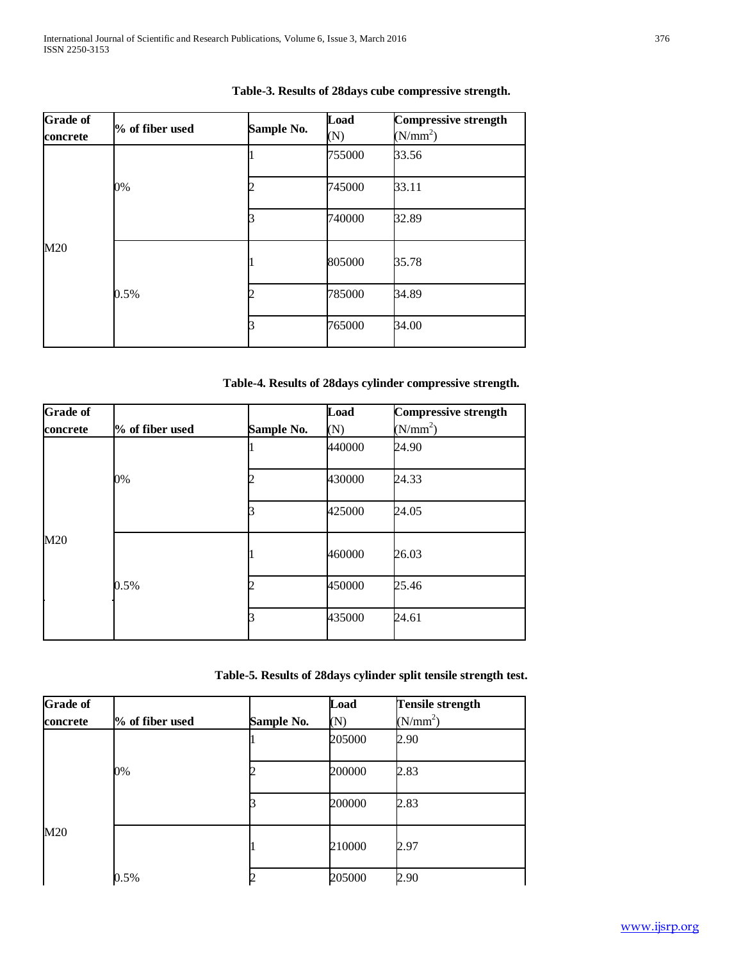| <b>Grade of</b><br>concrete | % of fiber used | Sample No. | Load<br>(N)     | <b>Compressive strength</b><br>(N/mm <sup>2</sup> ) |
|-----------------------------|-----------------|------------|-----------------|-----------------------------------------------------|
|                             |                 |            | 755000          | 33.56                                               |
|                             | 0%              |            | 745000          | 33.11                                               |
|                             |                 |            | 32.89<br>740000 |                                                     |
| M20                         | 0.5%            |            | 805000          | 35.78                                               |
|                             |                 |            | 785000          | 34.89                                               |
|                             |                 |            | 765000          | 34.00                                               |

# **Table-3. Results of 28days cube compressive strength.**

# **Table-4. Results of 28days cylinder compressive strength.**

| <b>Grade of</b> |                 |            | Load   | <b>Compressive strength</b> |
|-----------------|-----------------|------------|--------|-----------------------------|
| concrete        | % of fiber used | Sample No. | (N)    | (N/mm <sup>2</sup> )        |
|                 |                 |            | 440000 | 24.90                       |
|                 | 0%              |            | 430000 | 24.33                       |
|                 |                 |            | 425000 | 24.05                       |
| M20             | 0.5%            |            | 460000 | 26.03                       |
|                 |                 |            | 450000 | 25.46                       |
|                 |                 |            | 435000 | 24.61                       |

# **Table-5. Results of 28days cylinder split tensile strength test.**

| <b>Grade of</b> |                 |            | Load   | <b>Tensile strength</b> |
|-----------------|-----------------|------------|--------|-------------------------|
| concrete        | % of fiber used | Sample No. | (N)    | $(N/mm^2)$              |
|                 |                 |            | 205000 | 2.90                    |
|                 | 0%              |            | 200000 | 2.83                    |
|                 |                 |            | 200000 | 2.83                    |
| M20             |                 |            | 210000 | 2.97                    |
|                 | 0.5%            |            | 205000 | 2.90                    |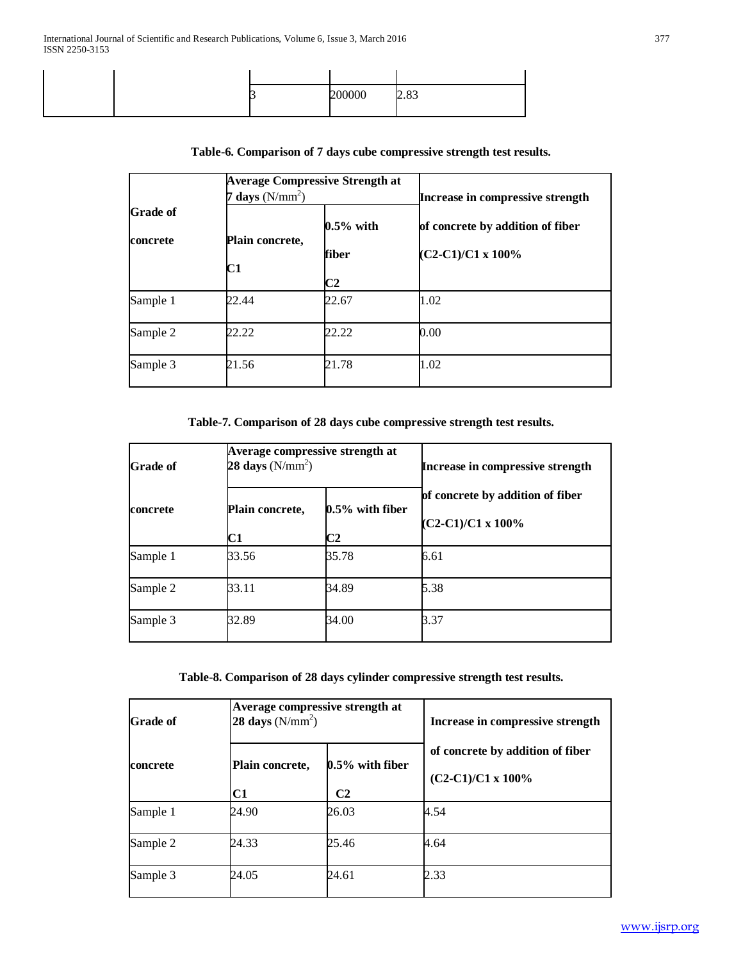|  | vu | $\Omega$<br>ر ن.ب |
|--|----|-------------------|
|  |    |                   |

|                             | <b>Average Compressive Strength at</b><br>days $(N/mm^2)$ |                       | Increase in compressive strength                              |
|-----------------------------|-----------------------------------------------------------|-----------------------|---------------------------------------------------------------|
| <b>Grade of</b><br>concrete | Plain concrete,                                           | $0.5\%$ with<br>fiber | of concrete by addition of fiber<br>$(C2-C1)/C1 \times 100\%$ |
|                             | C1                                                        | C2                    |                                                               |
| Sample 1                    | 22.44                                                     | 22.67                 | 1.02                                                          |
| Sample 2                    | 22.22                                                     | 22.22                 | 0.00                                                          |
| Sample 3                    | 21.56                                                     | 21.78                 | 1.02                                                          |

# **Table-6. Comparison of 7 days cube compressive strength test results.**

**Table-7. Comparison of 28 days cube compressive strength test results.**

| <b>Grade of</b> | Average compressive strength at<br>28 days $(N/mm^2)$ |                                      | Increase in compressive strength                              |
|-----------------|-------------------------------------------------------|--------------------------------------|---------------------------------------------------------------|
| concrete        | Plain concrete,<br>$\mathbf{C1}$                      | $0.5\%$ with fiber<br>C <sub>2</sub> | of concrete by addition of fiber<br>$(C2-C1)/C1 \times 100\%$ |
| Sample 1        | 33.56                                                 | 35.78                                | 6.61                                                          |
| Sample 2        | 33.11                                                 | 34.89                                | 5.38                                                          |
| Sample 3        | 32.89                                                 | 34.00                                | 3.37                                                          |

**Table-8. Comparison of 28 days cylinder compressive strength test results.**

| <b>Grade</b> of | Average compressive strength at<br>28 days $(N/mm^2)$ |                                      | Increase in compressive strength                              |
|-----------------|-------------------------------------------------------|--------------------------------------|---------------------------------------------------------------|
| <b>concrete</b> | Plain concrete,<br>C1                                 | $0.5\%$ with fiber<br>C <sub>2</sub> | of concrete by addition of fiber<br>$(C2-C1)/C1 \times 100\%$ |
| Sample 1        | 24.90                                                 | 26.03                                | 4.54                                                          |
| Sample 2        | 24.33                                                 | 25.46                                | 4.64                                                          |
| Sample 3        | 24.05                                                 | 24.61                                | 2.33                                                          |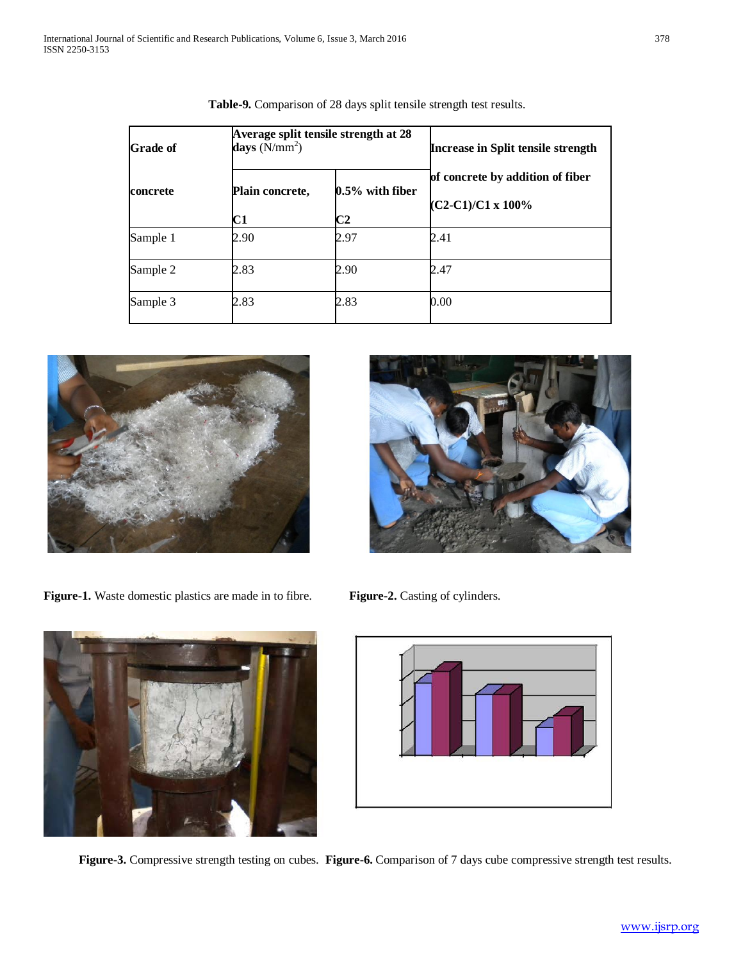| <b>Grade of</b> | days $(N/mm^2)$       | Average split tensile strength at 28 | <b>Increase in Split tensile strength</b>                     |
|-----------------|-----------------------|--------------------------------------|---------------------------------------------------------------|
| <b>concrete</b> | Plain concrete,<br>C1 | $0.5\%$ with fiber<br>C2             | of concrete by addition of fiber<br>$(C2-C1)/C1 \times 100\%$ |
| Sample 1        | 2.90                  | 2.97                                 | 2.41                                                          |
| Sample 2        | 2.83                  | 2.90                                 | 2.47                                                          |
| Sample 3        | 2.83                  | 2.83                                 | 0.00                                                          |

**Table-9.** Comparison of 28 days split tensile strength test results.



Figure-1. Waste domestic plastics are made in to fibre. Figure-2. Casting of cylinders.





**Figure-3.** Compressive strength testing on cubes. **Figure-6.** Comparison of 7 days cube compressive strength test results.



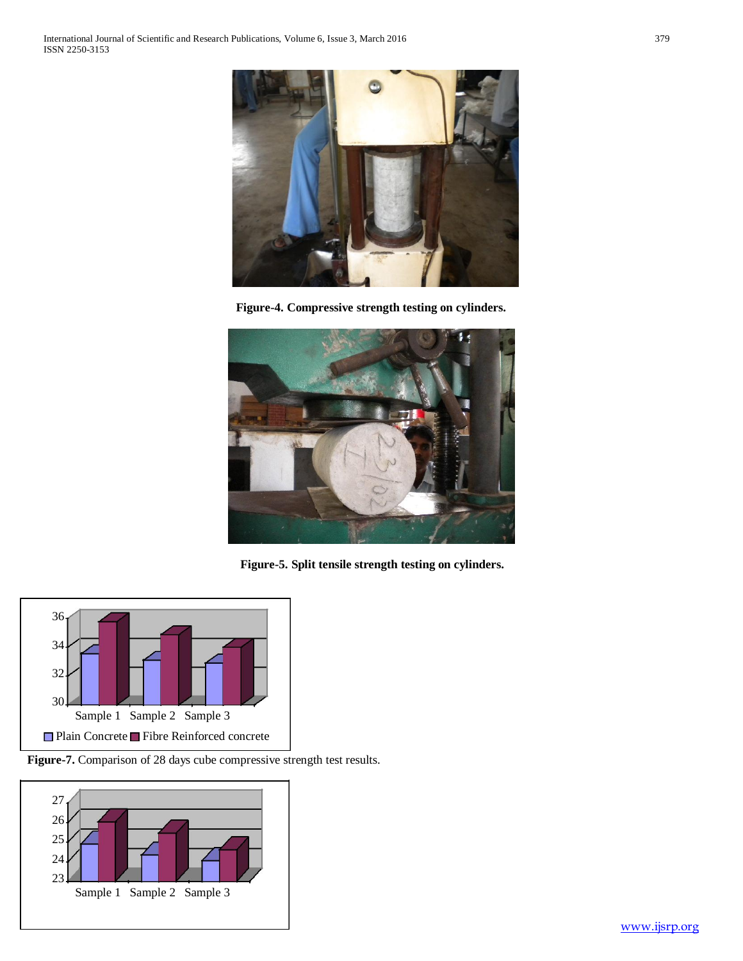

**Figure-4. Compressive strength testing on cylinders.**



**Figure-5. Split tensile strength testing on cylinders.**



**Figure-7.** Comparison of 28 days cube compressive strength test results.